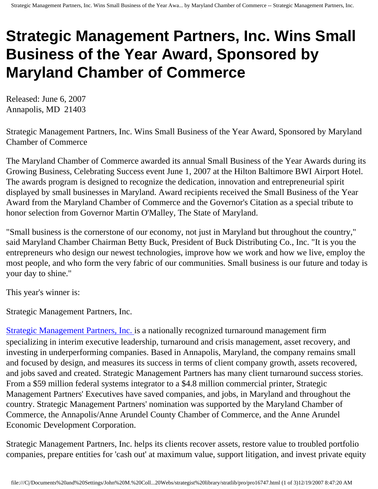## **Strategic Management Partners, Inc. Wins Small Business of the Year Award, Sponsored by Maryland Chamber of Commerce**

Released: June 6, 2007 Annapolis, MD 21403

Strategic Management Partners, Inc. Wins Small Business of the Year Award, Sponsored by Maryland Chamber of Commerce

The Maryland Chamber of Commerce awarded its annual Small Business of the Year Awards during its Growing Business, Celebrating Success event June 1, 2007 at the Hilton Baltimore BWI Airport Hotel. The awards program is designed to recognize the dedication, innovation and entrepreneurial spirit displayed by small businesses in Maryland. Award recipients received the Small Business of the Year Award from the Maryland Chamber of Commerce and the Governor's Citation as a special tribute to honor selection from Governor Martin O'Malley, The State of Maryland.

"Small business is the cornerstone of our economy, not just in Maryland but throughout the country," said Maryland Chamber Chairman Betty Buck, President of Buck Distributing Co., Inc. "It is you the entrepreneurs who design our newest technologies, improve how we work and how we live, employ the most people, and who form the very fabric of our communities. Small business is our future and today is your day to shine."

This year's winner is:

Strategic Management Partners, Inc.

[Strategic Management Partners, Inc.](http://www.strategicmgtpartners.com/) is a nationally recognized turnaround management firm specializing in interim executive leadership, turnaround and crisis management, asset recovery, and investing in underperforming companies. Based in Annapolis, Maryland, the company remains small and focused by design, and measures its success in terms of client company growth, assets recovered, and jobs saved and created. Strategic Management Partners has many client turnaround success stories. From a \$59 million federal systems integrator to a \$4.8 million commercial printer, Strategic Management Partners' Executives have saved companies, and jobs, in Maryland and throughout the country. Strategic Management Partners' nomination was supported by the Maryland Chamber of Commerce, the Annapolis/Anne Arundel County Chamber of Commerce, and the Anne Arundel Economic Development Corporation.

Strategic Management Partners, Inc. helps its clients recover assets, restore value to troubled portfolio companies, prepare entities for 'cash out' at maximum value, support litigation, and invest private equity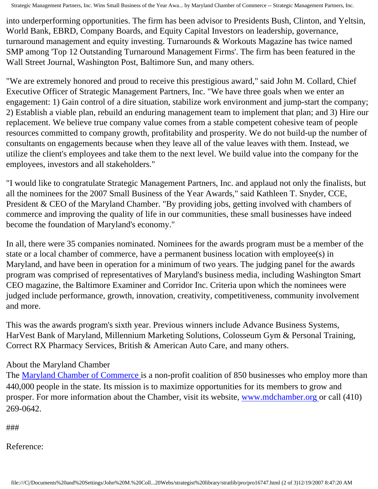Strategic Management Partners, Inc. Wins Small Business of the Year Awa... by Maryland Chamber of Commerce -- Strategic Management Partners, Inc.

into underperforming opportunities. The firm has been advisor to Presidents Bush, Clinton, and Yeltsin, World Bank, EBRD, Company Boards, and Equity Capital Investors on leadership, governance, turnaround management and equity investing. Turnarounds & Workouts Magazine has twice named SMP among 'Top 12 Outstanding Turnaround Management Firms'. The firm has been featured in the Wall Street Journal, Washington Post, Baltimore Sun, and many others.

"We are extremely honored and proud to receive this prestigious award," said John M. Collard, Chief Executive Officer of Strategic Management Partners, Inc. "We have three goals when we enter an engagement: 1) Gain control of a dire situation, stabilize work environment and jump-start the company; 2) Establish a viable plan, rebuild an enduring management team to implement that plan; and 3) Hire our replacement. We believe true company value comes from a stable competent cohesive team of people resources committed to company growth, profitability and prosperity. We do not build-up the number of consultants on engagements because when they leave all of the value leaves with them. Instead, we utilize the client's employees and take them to the next level. We build value into the company for the employees, investors and all stakeholders."

"I would like to congratulate Strategic Management Partners, Inc. and applaud not only the finalists, but all the nominees for the 2007 Small Business of the Year Awards," said Kathleen T. Snyder, CCE, President & CEO of the Maryland Chamber. "By providing jobs, getting involved with chambers of commerce and improving the quality of life in our communities, these small businesses have indeed become the foundation of Maryland's economy."

In all, there were 35 companies nominated. Nominees for the awards program must be a member of the state or a local chamber of commerce, have a permanent business location with employee(s) in Maryland, and have been in operation for a minimum of two years. The judging panel for the awards program was comprised of representatives of Maryland's business media, including Washington Smart CEO magazine, the Baltimore Examiner and Corridor Inc. Criteria upon which the nominees were judged include performance, growth, innovation, creativity, competitiveness, community involvement and more.

This was the awards program's sixth year. Previous winners include Advance Business Systems, HarVest Bank of Maryland, Millennium Marketing Solutions, Colosseum Gym & Personal Training, Correct RX Pharmacy Services, British & American Auto Care, and many others.

## About the Maryland Chamber

The [Maryland Chamber of Commerce](http://www.mdchamber.org/) is a non-profit coalition of 850 businesses who employ more than 440,000 people in the state. Its mission is to maximize opportunities for its members to grow and prosper. For more information about the Chamber, visit its website, [www.mdchamber.org](http://www.mdchamber.org/) or call (410) 269-0642.

###

Reference: